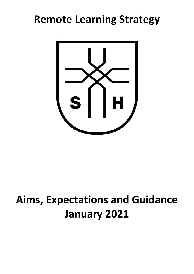# **Remote Learning Strategy**



# **Aims, Expectations and Guidance January 2021**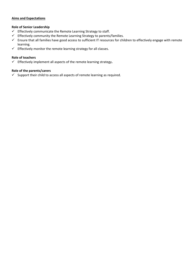# **Aims and Expectations**

# **Role of Senior Leadership**

- $\checkmark$  Effectively communicate the Remote Learning Strategy to staff.
- $\checkmark$  Effectively community the Remote Learning Strategy to parents/families.
- $\checkmark$  Ensure that all families have good access to sufficient IT resources for children to effectively engage with remote learning.
- $\checkmark$  Effectively monitor the remote learning strategy for all classes.

#### **Role of teachers**

Effectively implement all aspects of the remote learning strategy**.** 

## **Role of the parents/carers**

 $\checkmark$  Support their child to access all aspects of remote learning as required.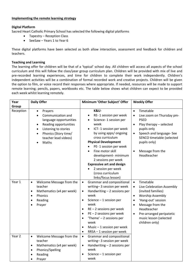#### **Implementing the remote learning strategy**

# **Digital Platform**

Sacred Heart Catholic Primary School has selected the following digital platforms

- Tapestry Reception Class
- SeeSaw Years 1 to Year 6

These digital platforms have been selected as both allow interaction, assessment and feedback for children and teachers.

#### **Teaching and Learning**

The learning offer for children will be that of a 'typical' school day. All children will access all aspects of the school curriculum and this will follow the class/year group curriculum plan. Children will be provided with mix of live and pre-recorded learning experiences, and time for children to complete their work independently. Children's independent activities will be a combination of formal recorded work and creative projects. Children will be given the option to film, or voice record their responses where appropriate. If needed, resources will be made to support remote learning; pencils, papers, workbooks etc. The table below shows what children can expect to be provided each week whilst learning remotely.

| Year<br>Group               | <b>Daily Offer</b>                                                                                                                                                                                         | Minimum 'Other Subject' Offer                                                                                                                                                                                                                                                                                                                                                                                                                     | <b>Weekly Offer</b>                                                                                                                                                                                                                                                                                    |
|-----------------------------|------------------------------------------------------------------------------------------------------------------------------------------------------------------------------------------------------------|---------------------------------------------------------------------------------------------------------------------------------------------------------------------------------------------------------------------------------------------------------------------------------------------------------------------------------------------------------------------------------------------------------------------------------------------------|--------------------------------------------------------------------------------------------------------------------------------------------------------------------------------------------------------------------------------------------------------------------------------------------------------|
| Reception                   | Prayers<br>$\bullet$<br>Communication and<br>language opportunities<br>Reading opportunities<br>Listening to stories<br>Phonics (Story time/<br>$\bullet$<br>teacher lead videos)<br>Maths                 | <b>K&amp;U-</b><br>RE-1 session per week<br>$\bullet$<br>Science-1 session per<br>week<br>ICT-1 session per week<br>by using apps/ ongoing<br>cross curriculum<br><b>Physical Development</b><br>PE-1 session per week<br>Fine motor skill<br>development- minimum<br>2 sessions per week<br><b>Expressive art and design</b><br>2 session per week<br>(cross curriculum<br>links/focus lesson)                                                   | Timetable<br>$\bullet$<br>Live zoom on Thursday pm-<br>$\bullet$<br><b>PSED</b><br>Play therapy - selected<br>$\bullet$<br>pupils only<br>Speech and language- See<br>$\bullet$<br>SENCO timetable (selected<br>pupils only)<br>Message from the<br>$\bullet$<br>Headteacher                           |
| Year 1<br>Year <sub>2</sub> | Welcome Message from the<br>$\bullet$<br>teacher<br>Mathematics (x4 per week)<br>$\bullet$<br>Phonics<br>$\bullet$<br>Reading<br>$\bullet$<br>Prayer<br>$\bullet$<br>Welcome Message from the<br>$\bullet$ | Grammar and compositional<br>$\bullet$<br>writing-3 session per week<br>Handwriting - 2 sessions per<br>$\bullet$<br>week<br>Science $-1$ session per<br>$\bullet$<br>week<br>$RE - 2$ sessions per week<br>$\bullet$<br>$PE - 2$ sessions per week<br>$\bullet$<br>'Theme' - 2 sessions per<br>$\bullet$<br>week<br>Music $-1$ session per week<br>$\bullet$<br>RRSA - 1 session per week<br>$\bullet$<br>Grammar and compositional<br>$\bullet$ | Timetable<br>$\bullet$<br>Live Celebration Assembly<br>$\bullet$<br>(invited families)<br><b>Worship Assembly</b><br>$\bullet$<br>'Hang-out' session<br>$\bullet$<br>Message from the<br>$\bullet$<br>Headteacher<br>Pre-arranged peripatetic<br>$\bullet$<br>music lesson (selected<br>children only) |
|                             | teacher<br>Mathematics (x4 per week)<br>$\bullet$<br>Phonics/Spelling<br>$\bullet$<br>Reading<br>$\bullet$<br>Prayer<br>$\bullet$                                                                          | writing-3 session per week<br>Handwriting $-2$ sessions per<br>$\bullet$<br>week<br>Science $-1$ session per<br>$\bullet$<br>week                                                                                                                                                                                                                                                                                                                 |                                                                                                                                                                                                                                                                                                        |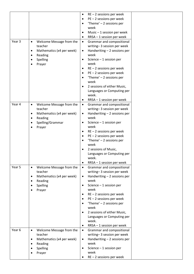|        |                        |                           | ٠         | $RE - 2$ sessions per week            |
|--------|------------------------|---------------------------|-----------|---------------------------------------|
|        |                        |                           | $\bullet$ | $PE - 2$ sessions per week            |
|        |                        |                           | $\bullet$ | 'Theme' $-$ 2 sessions per            |
|        |                        |                           |           | week                                  |
|        |                        |                           | ٠         | Music $-1$ session per week           |
|        |                        |                           | $\bullet$ | RRSA - 1 session per week             |
| Year 3 | $\bullet$              | Welcome Message from the  | $\bullet$ | Grammar and compositional             |
|        |                        | teacher                   |           | writing-3 session per week            |
|        | $\bullet$              | Mathematics (x4 per week) | $\bullet$ | Handwriting $-2$ sessions per         |
|        | $\bullet$              | Reading                   |           | week                                  |
|        | $\bullet$              | Spelling                  | $\bullet$ | Science $-1$ session per              |
|        | $\bullet$              | Prayer                    |           | week                                  |
|        |                        |                           | $\bullet$ | $RE - 2$ sessions per week            |
|        |                        |                           | $\bullet$ | $PE - 2$ sessions per week            |
|        |                        |                           | $\bullet$ | 'Theme' $-$ 2 sessions per            |
|        |                        |                           |           | week                                  |
|        |                        |                           | $\bullet$ | 2 sessions of either Music,           |
|        |                        |                           |           | Languages or Computing per            |
|        |                        |                           |           | week.                                 |
|        |                        |                           | $\bullet$ | RRSA - 1 session per week             |
| Year 4 | $\bullet$              | Welcome Message from the  | $\bullet$ | Grammar and compositional             |
|        |                        | teacher                   |           | writing-3 session per week            |
|        | $\bullet$<br>$\bullet$ | Mathematics (x4 per week) | $\bullet$ | Handwriting $-2$ sessions per<br>week |
|        |                        | Reading                   | $\bullet$ | Science $-1$ session per              |
|        | $\bullet$<br>$\bullet$ | Spelling/Grammar          |           | week                                  |
|        |                        | Prayer                    | ٠         | $RE - 2$ sessions per week            |
|        |                        |                           | $\bullet$ | $PE - 2$ sessions per week            |
|        |                        |                           | $\bullet$ | 'Theme' $-$ 2 sessions per            |
|        |                        |                           |           | week                                  |
|        |                        |                           | $\bullet$ | 2 sessions of Music,                  |
|        |                        |                           |           | Languages or Computing per            |
|        |                        |                           |           | week.                                 |
|        |                        |                           | ٠         | RRSA - 1 session per week             |
| Year 5 | $\bullet$              | Welcome Message from the  | $\bullet$ | Grammar and compositional             |
|        |                        | teacher                   |           | writing-3 session per week            |
|        | $\bullet$              | Mathematics (x4 per week) | $\bullet$ | Handwriting - 2 sessions per          |
|        | $\bullet$              | Reading                   |           | week                                  |
|        | $\bullet$              | Spelling                  | $\bullet$ | Science $-1$ session per              |
|        | $\bullet$              | Prayer                    |           | week                                  |
|        |                        |                           | $\bullet$ | $RE - 2$ sessions per week            |
|        |                        |                           | $\bullet$ | $PE - 2$ sessions per week            |
|        |                        |                           | $\bullet$ | 'Theme' $-$ 2 sessions per            |
|        |                        |                           |           | week                                  |
|        |                        |                           | $\bullet$ | 2 sessions of either Music,           |
|        |                        |                           |           | Languages or Computing per            |
|        |                        |                           |           | week.                                 |
|        |                        |                           | ٠         | RRSA - 1 session per week             |
| Year 6 | $\bullet$              | Welcome Message from the  | $\bullet$ | Grammar and compositional             |
|        |                        | teacher                   |           | writing-3 session per week            |
|        | $\bullet$<br>$\bullet$ | Mathematics (x4 per week) | $\bullet$ | Handwriting $-2$ sessions per<br>week |
|        |                        | Reading                   | $\bullet$ | Science $-1$ session per              |
|        | $\bullet$              | Spelling                  |           | week                                  |
|        | ٠                      | Prayer                    | ٠         | $RE - 2$ sessions per week            |
|        |                        |                           |           |                                       |